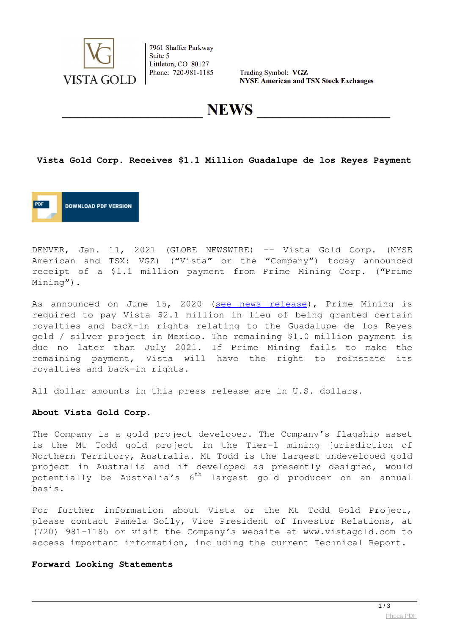

7961 Shaffer Parkway Suite 5 Littleton, CO 80127 Phone: 720-981-1185

Trading Symbol: VGZ **NYSE American and TSX Stock Exchanges** 

**NEWS** 

### **Vista Gold Corp. Receives \$1.1 Million Guadalupe de los Reyes Payment**



DENVER, Jan. 11, 2021 (GLOBE NEWSWIRE) -- Vista Gold Corp. (NYSE American and TSX: VGZ) ("Vista" or the "Company") today announced receipt of a \$1.1 million payment from Prime Mining Corp. ("Prime Mining").

As announced on June 15, 2020 ([see news release\)](https://www.globenewswire.com/Tracker?data=TQ1EUvyiQXDdU9wQeuE7myjCFq12KEPOqA-onQUPRT9p_niEL-vjyh5jC-RmP5cTPYDEkdG3LbOfDMbebtpoHVqjwvhdzrnyFTejHlMsX4eebnwZ9weyLxSeCnacK_R9WDMgMw3fzDrAtUVATNX9jYD_2rAaIbQxgF6ZdVuNyXbhObeJ-MFtRY7gdDDw2fNdPrvdm3x9cOs71hcQpuLM9w==), Prime Mining is required to pay Vista \$2.1 million in lieu of being granted certain royalties and back-in rights relating to the Guadalupe de los Reyes gold / silver project in Mexico. The remaining \$1.0 million payment is due no later than July 2021. If Prime Mining fails to make the remaining payment, Vista will have the right to reinstate its royalties and back-in rights.

All dollar amounts in this press release are in U.S. dollars.

#### **About Vista Gold Corp.**

The Company is a gold project developer. The Company's flagship asset is the Mt Todd gold project in the Tier-1 mining jurisdiction of Northern Territory, Australia. Mt Todd is the largest undeveloped gold project in Australia and if developed as presently designed, would potentially be Australia's 6<sup>th</sup> largest gold producer on an annual basis.

For further information about Vista or the Mt Todd Gold Project, please contact Pamela Solly, Vice President of Investor Relations, at (720) 981-1185 or visit the Company's website at www.vistagold.com to access important information, including the current Technical Report.

### **Forward Looking Statements**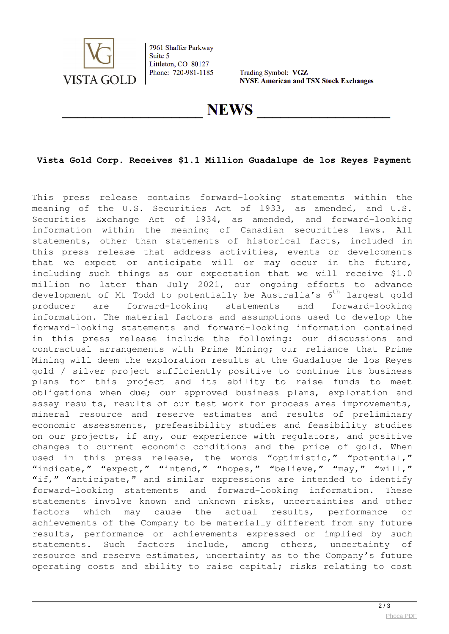

7961 Shaffer Parkway Suite 5 Littleton, CO 80127 Phone: 720-981-1185

Trading Symbol: VGZ **NYSE American and TSX Stock Exchanges** 

**NEWS** 

## **Vista Gold Corp. Receives \$1.1 Million Guadalupe de los Reyes Payment**

This press release contains forward-looking statements within the meaning of the U.S. Securities Act of 1933, as amended, and U.S. Securities Exchange Act of 1934, as amended, and forward-looking information within the meaning of Canadian securities laws. All statements, other than statements of historical facts, included in this press release that address activities, events or developments that we expect or anticipate will or may occur in the future, including such things as our expectation that we will receive \$1.0 million no later than July 2021, our ongoing efforts to advance development of Mt Todd to potentially be Australia's  $6<sup>th</sup>$  largest gold producer are forward-looking statements and forward-looking information. The material factors and assumptions used to develop the forward-looking statements and forward-looking information contained in this press release include the following: our discussions and contractual arrangements with Prime Mining; our reliance that Prime Mining will deem the exploration results at the Guadalupe de los Reyes gold / silver project sufficiently positive to continue its business plans for this project and its ability to raise funds to meet obligations when due; our approved business plans, exploration and assay results, results of our test work for process area improvements, mineral resource and reserve estimates and results of preliminary economic assessments, prefeasibility studies and feasibility studies on our projects, if any, our experience with regulators, and positive changes to current economic conditions and the price of gold. When used in this press release, the words "optimistic," "potential," "indicate," "expect," "intend," "hopes," "believe," "may," "will," "if," "anticipate," and similar expressions are intended to identify forward-looking statements and forward-looking information. These statements involve known and unknown risks, uncertainties and other factors which may cause the actual results, performance or achievements of the Company to be materially different from any future results, performance or achievements expressed or implied by such statements. Such factors include, among others, uncertainty of resource and reserve estimates, uncertainty as to the Company's future operating costs and ability to raise capital; risks relating to cost